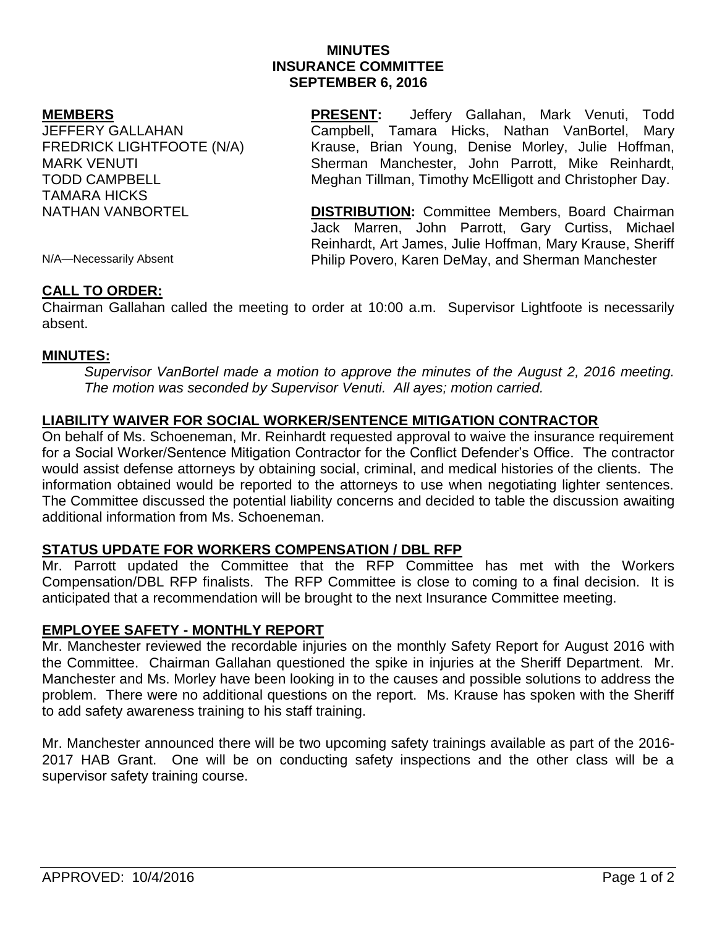# **MINUTES INSURANCE COMMITTEE SEPTEMBER 6, 2016**

### **MEMBERS**

JEFFERY GALLAHAN FREDRICK LIGHTFOOTE (N/A) MARK VENUTI TODD CAMPBELL TAMARA HICKS NATHAN VANBORTEL

**PRESENT:** Jeffery Gallahan, Mark Venuti, Todd Campbell, Tamara Hicks, Nathan VanBortel, Mary Krause, Brian Young, Denise Morley, Julie Hoffman, Sherman Manchester, John Parrott, Mike Reinhardt, Meghan Tillman, Timothy McElligott and Christopher Day.

**DISTRIBUTION:** Committee Members, Board Chairman Jack Marren, John Parrott, Gary Curtiss, Michael Reinhardt, Art James, Julie Hoffman, Mary Krause, Sheriff Philip Povero, Karen DeMay, and Sherman Manchester

N/A—Necessarily Absent

### **CALL TO ORDER:**

Chairman Gallahan called the meeting to order at 10:00 a.m. Supervisor Lightfoote is necessarily absent.

### **MINUTES:**

*Supervisor VanBortel made a motion to approve the minutes of the August 2, 2016 meeting. The motion was seconded by Supervisor Venuti. All ayes; motion carried.* 

# **LIABILITY WAIVER FOR SOCIAL WORKER/SENTENCE MITIGATION CONTRACTOR**

On behalf of Ms. Schoeneman, Mr. Reinhardt requested approval to waive the insurance requirement for a Social Worker/Sentence Mitigation Contractor for the Conflict Defender's Office. The contractor would assist defense attorneys by obtaining social, criminal, and medical histories of the clients. The information obtained would be reported to the attorneys to use when negotiating lighter sentences. The Committee discussed the potential liability concerns and decided to table the discussion awaiting additional information from Ms. Schoeneman.

# **STATUS UPDATE FOR WORKERS COMPENSATION / DBL RFP**

Mr. Parrott updated the Committee that the RFP Committee has met with the Workers Compensation/DBL RFP finalists. The RFP Committee is close to coming to a final decision. It is anticipated that a recommendation will be brought to the next Insurance Committee meeting.

### **EMPLOYEE SAFETY - MONTHLY REPORT**

Mr. Manchester reviewed the recordable injuries on the monthly Safety Report for August 2016 with the Committee. Chairman Gallahan questioned the spike in injuries at the Sheriff Department. Mr. Manchester and Ms. Morley have been looking in to the causes and possible solutions to address the problem. There were no additional questions on the report. Ms. Krause has spoken with the Sheriff to add safety awareness training to his staff training.

Mr. Manchester announced there will be two upcoming safety trainings available as part of the 2016- 2017 HAB Grant. One will be on conducting safety inspections and the other class will be a supervisor safety training course.